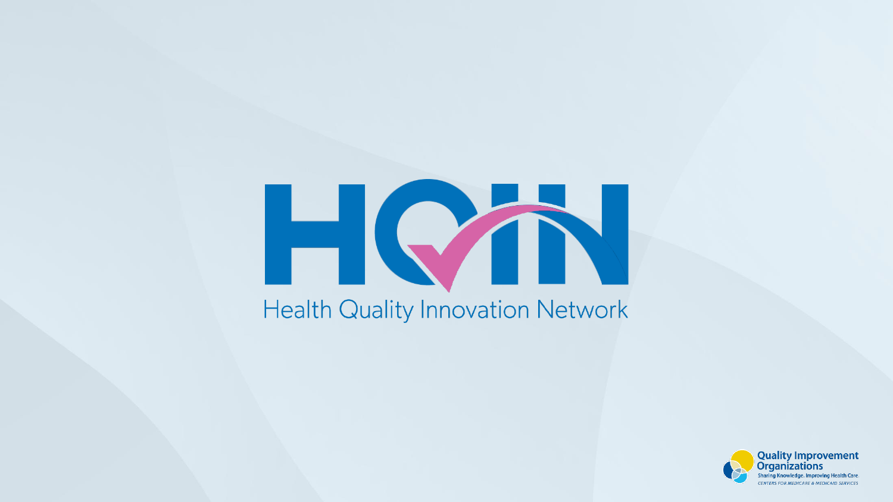

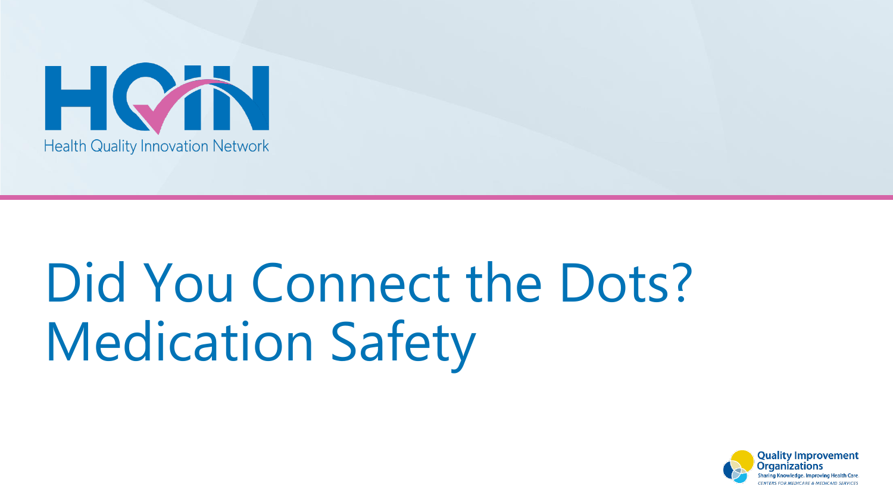

# Did You Connect the Dots? Medication Safety

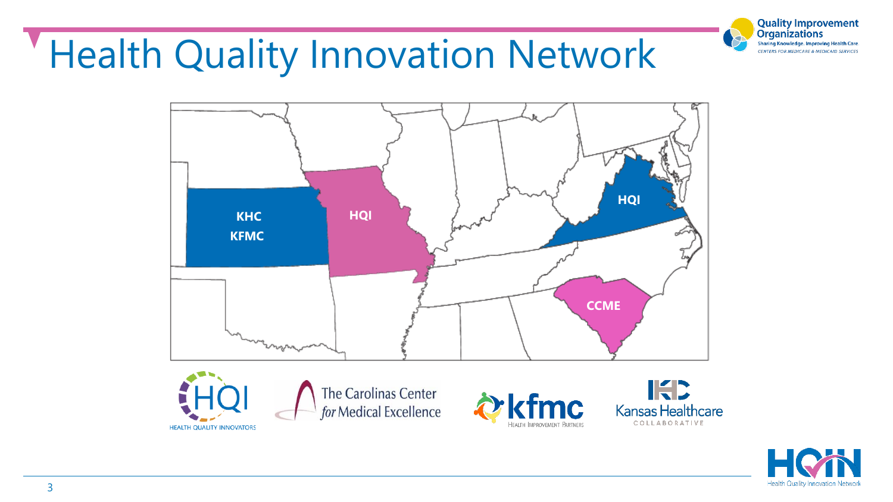

### **Health Quality Innovation Network**



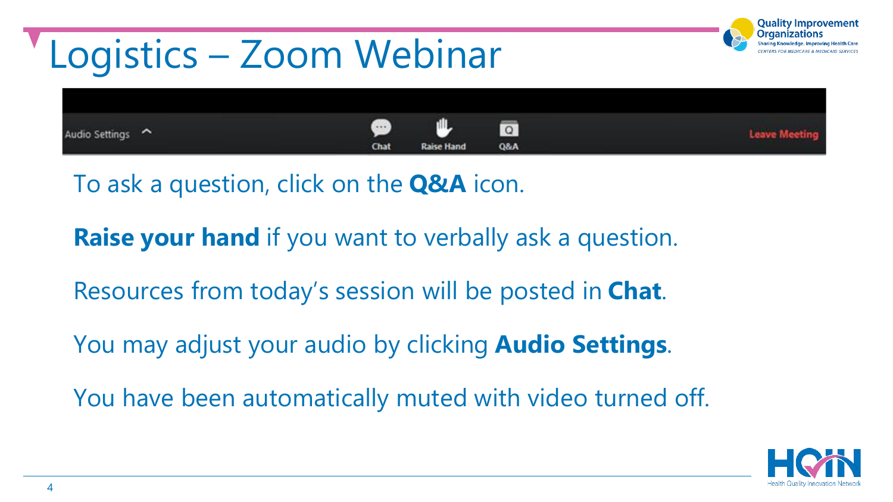

To ask a question, click on the **Q&A** icon.

**Raise your hand** if you want to verbally ask a question.

Resources from today's session will be posted in **Chat**.

You may adjust your audio by clicking **Audio Settings**.

You have been automatically muted with video turned off.

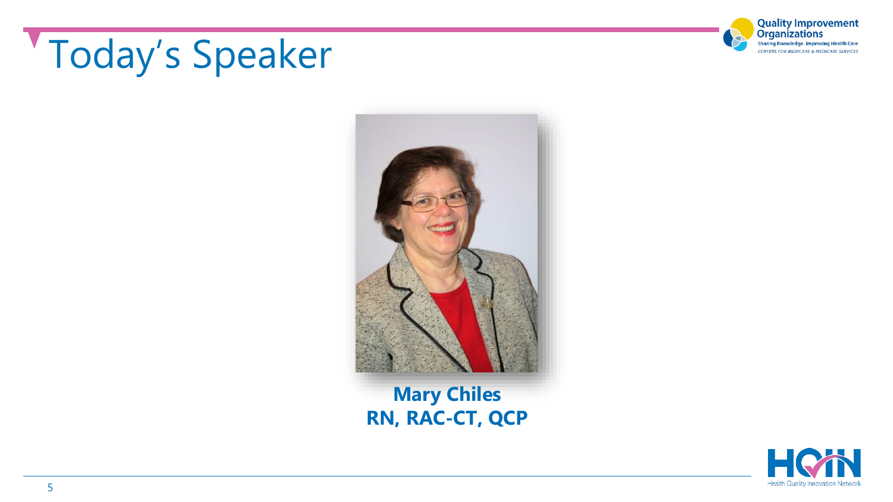

# Today's Speaker



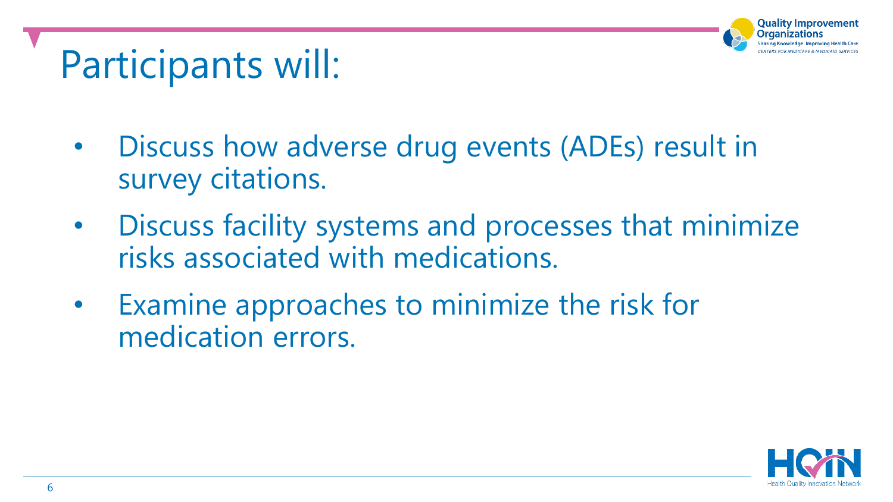#### uality Improvement)

#### Participants will:

- Discuss how adverse drug events (ADEs) result in survey citations.
- Discuss facility systems and processes that minimize risks associated with medications.
- Examine approaches to minimize the risk for medication errors.

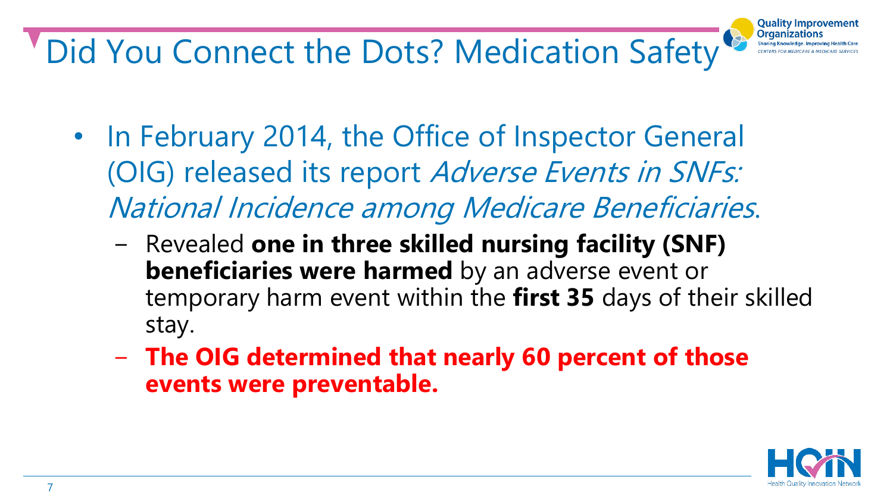**Did You Connect the Dots? Medication Safety** 

- In February 2014, the Office of Inspector General (OIG) released its report Adverse Events in SNFs: National Incidence among Medicare Beneficiaries.
	- − Revealed **one in three skilled nursing facility (SNF) beneficiaries were harmed** by an adverse event or temporary harm event within the **first 35** days of their skilled stay.
	- − **The OIG determined that nearly 60 percent of those events were preventable.**



Quality Improvement

**Organization**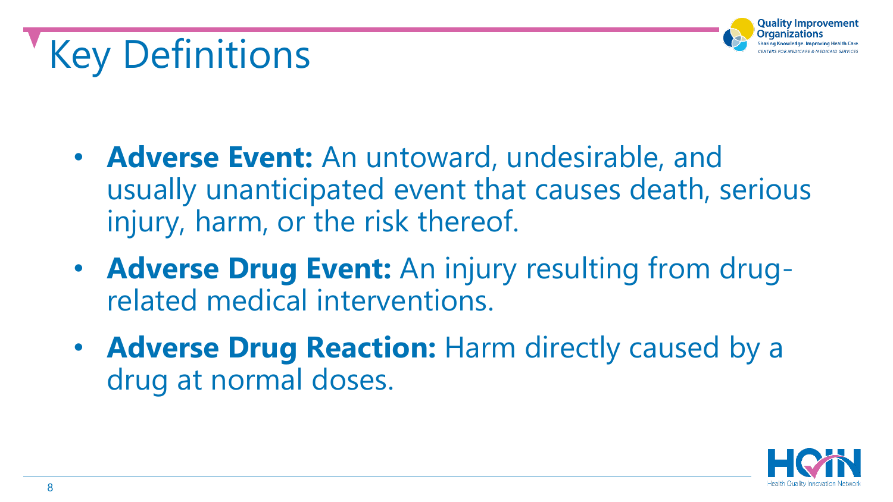## Key Definitions

**Improvement** 

- **Adverse Event:** An untoward, undesirable, and usually unanticipated event that causes death, serious injury, harm, or the risk thereof.
- **Adverse Drug Event:** An injury resulting from drugrelated medical interventions.
- **Adverse Drug Reaction:** Harm directly caused by a drug at normal doses.

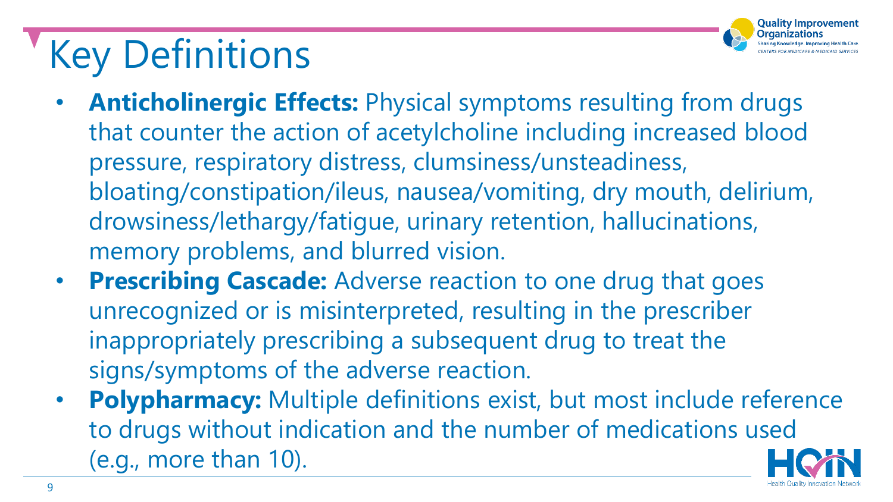

## Key Definitions

- **Anticholinergic Effects:** Physical symptoms resulting from drugs that counter the action of acetylcholine including increased blood pressure, respiratory distress, clumsiness/unsteadiness, bloating/constipation/ileus, nausea/vomiting, dry mouth, delirium, drowsiness/lethargy/fatigue, urinary retention, hallucinations, memory problems, and blurred vision.
- **Prescribing Cascade:** Adverse reaction to one drug that goes unrecognized or is misinterpreted, resulting in the prescriber inappropriately prescribing a subsequent drug to treat the signs/symptoms of the adverse reaction.
- **Polypharmacy:** Multiple definitions exist, but most include reference to drugs without indication and the number of medications used (e.g., more than 10).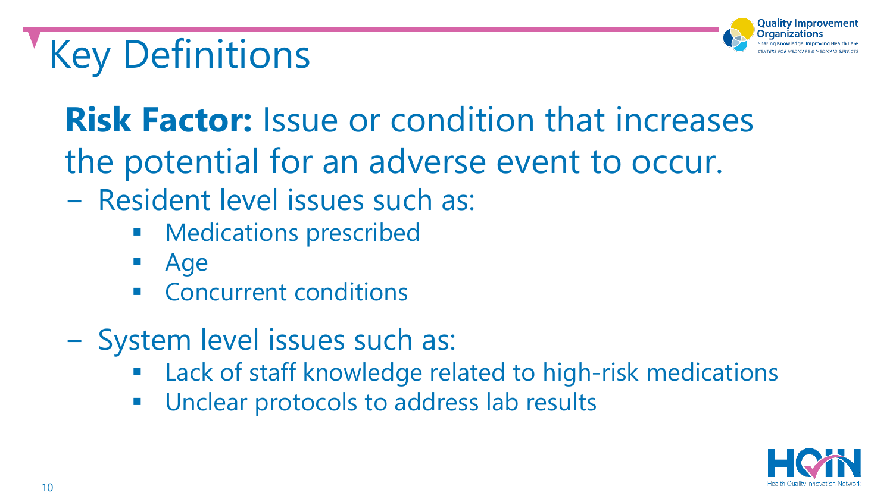## Key Definitions



#### **Risk Factor:** Issue or condition that increases the potential for an adverse event to occur.

- − Resident level issues such as:
	- **■** Medications prescribed
	- **Age**
	- Concurrent conditions
- − System level issues such as:
	- Lack of staff knowledge related to high-risk medications
	- Unclear protocols to address lab results

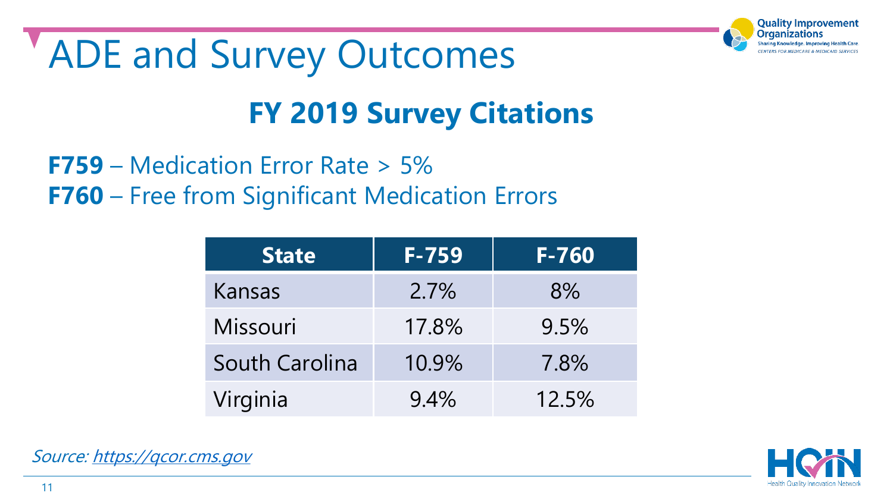



**F759** – Medication Error Rate > 5% **F760** – Free from Significant Medication Errors

| <b>State</b>          | $F-759$ | $F - 760$ |
|-----------------------|---------|-----------|
| Kansas                | 2.7%    | 8%        |
| Missouri              | 17.8%   | 9.5%      |
| <b>South Carolina</b> | 10.9%   | 7.8%      |
| Virginia              | 9.4%    | 12.5%     |



Quality Improvement

Source: [https://qcor.cms.gov](https://qcor.cms.gov/)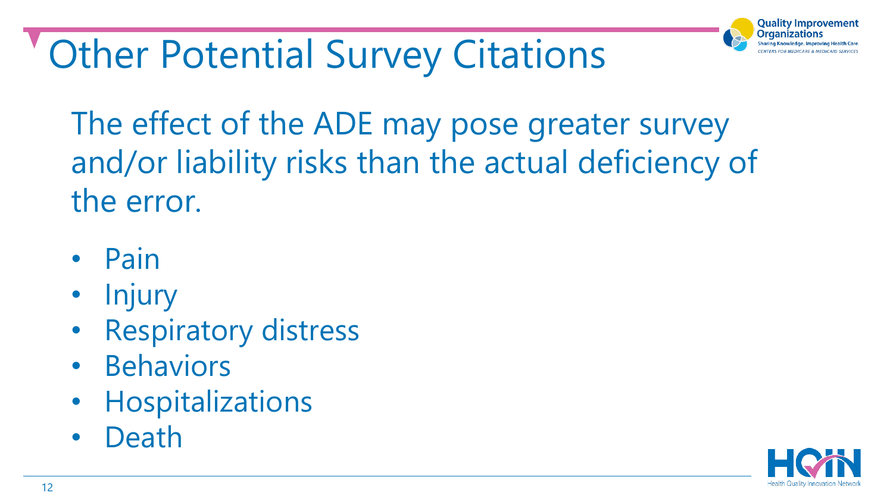Other Potential Survey Citations

The effect of the ADE may pose greater survey and/or liability risks than the actual deficiency of the error.

- Pain
- Injury
- Respiratory distress
- Behaviors
- Hospitalizations
- **Death**



Quality Improvement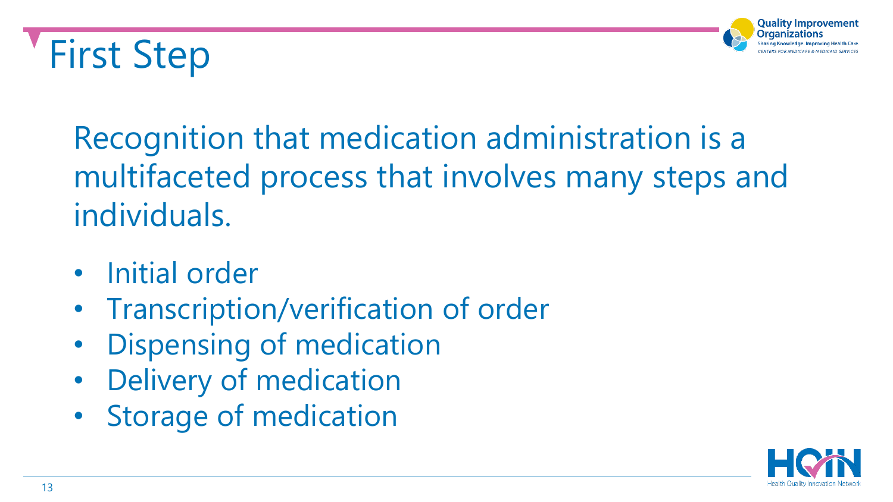### First Step



Recognition that medication administration is a multifaceted process that involves many steps and individuals.

- Initial order
- Transcription/verification of order
- Dispensing of medication
- Delivery of medication
- Storage of medication

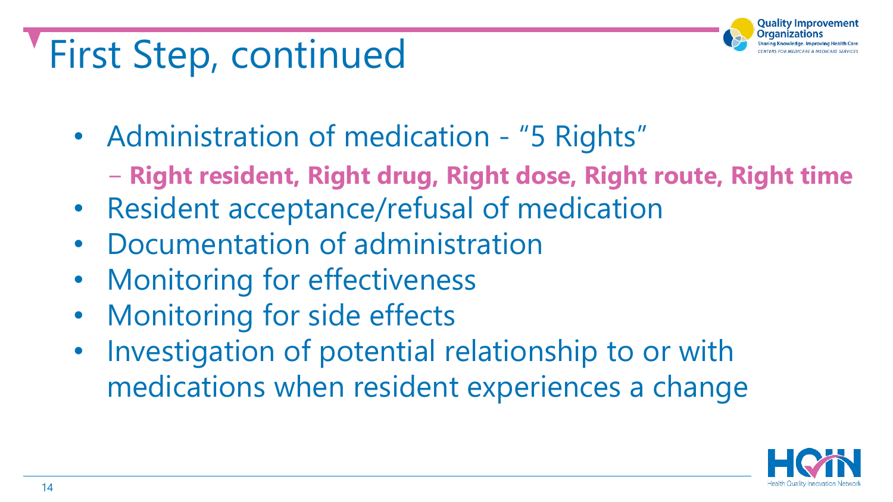#### First Step, continued

- Administration of medication "5 Rights"
	- − **Right resident, Right drug, Right dose, Right route, Right time**
- Resident acceptance/refusal of medication
- Documentation of administration
- Monitoring for effectiveness
- Monitoring for side effects
- Investigation of potential relationship to or with medications when resident experiences a change



uality Improvement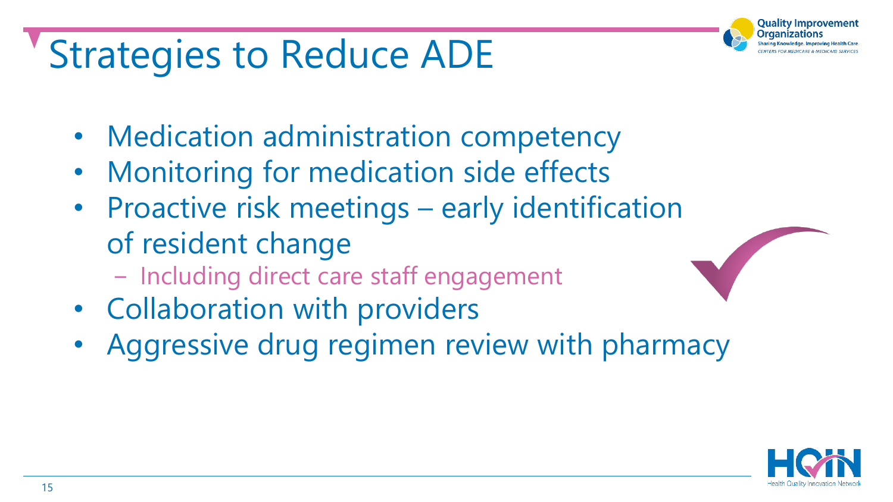### Strategies to Reduce ADE

- Medication administration competency
- Monitoring for medication side effects
- Proactive risk meetings early identification of resident change
	- − Including direct care staff engagement
- Collaboration with providers
- Aggressive drug regimen review with pharmacy



Quality Improvement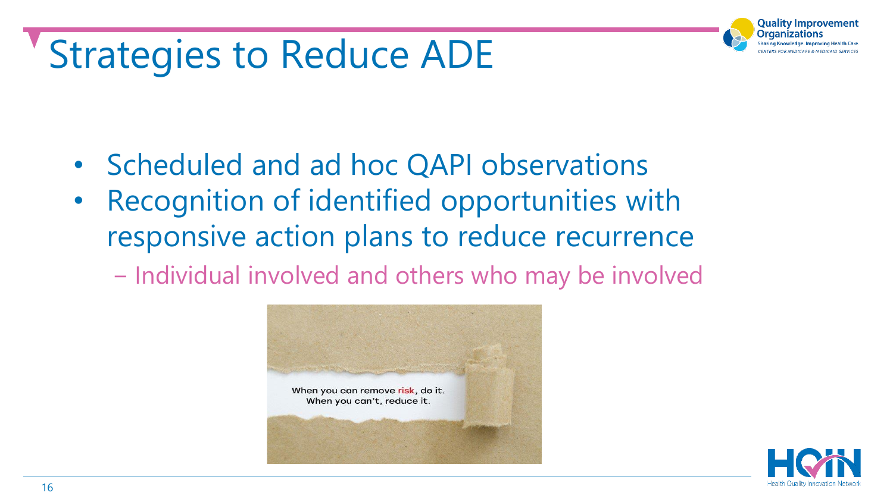#### Strategies to Reduce ADE

- Scheduled and ad hoc QAPI observations
- Recognition of identified opportunities with responsive action plans to reduce recurrence
	- − Individual involved and others who may be involved





Quality Improvement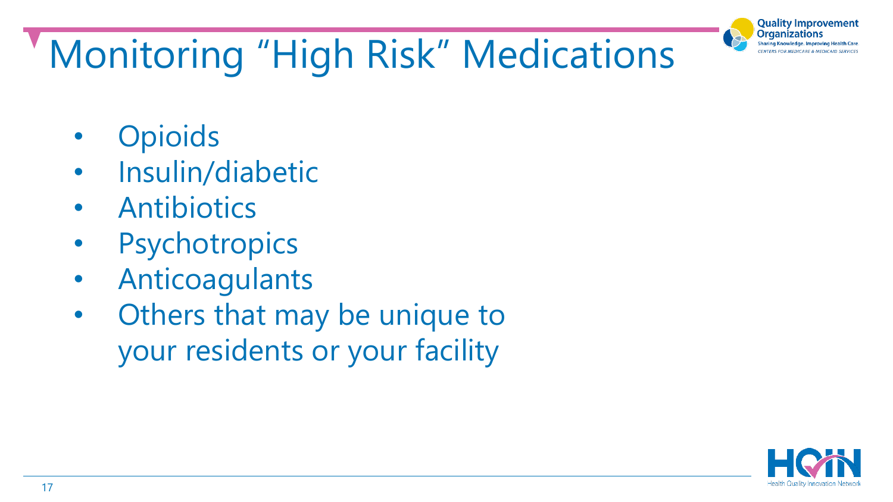

# Monitoring "High Risk" Medications

- Opioids
- Insulin/diabetic
- Antibiotics
- Psychotropics
- Anticoagulants
- Others that may be unique to your residents or your facility

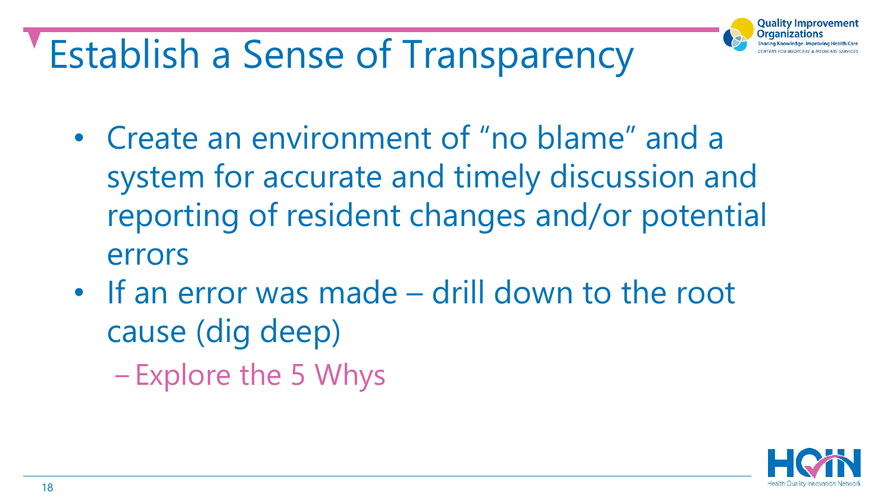Establish a Sense of Transparency



• If an error was made – drill down to the root cause (dig deep)

−Explore the 5 Whys



)uality Improvement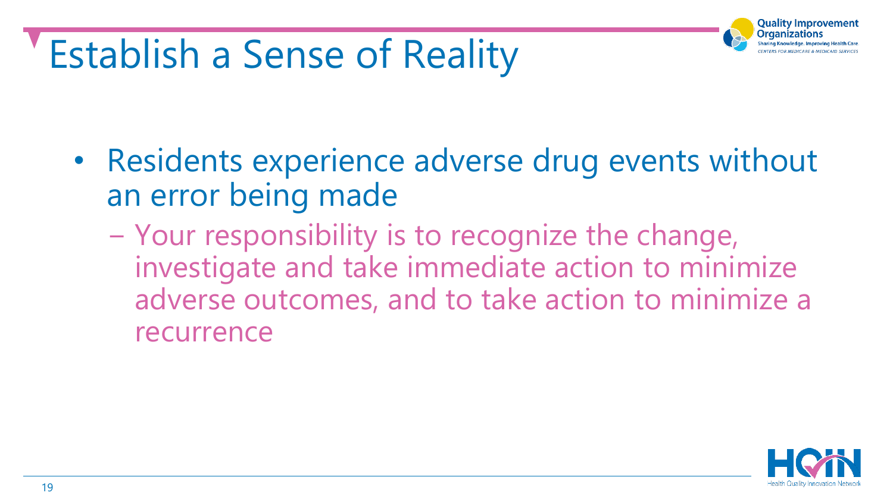### Establish a Sense of Reality

- Residents experience adverse drug events without an error being made
	- − Your responsibility is to recognize the change, investigate and take immediate action to minimize adverse outcomes, and to take action to minimize a recurrence



uality Improvement)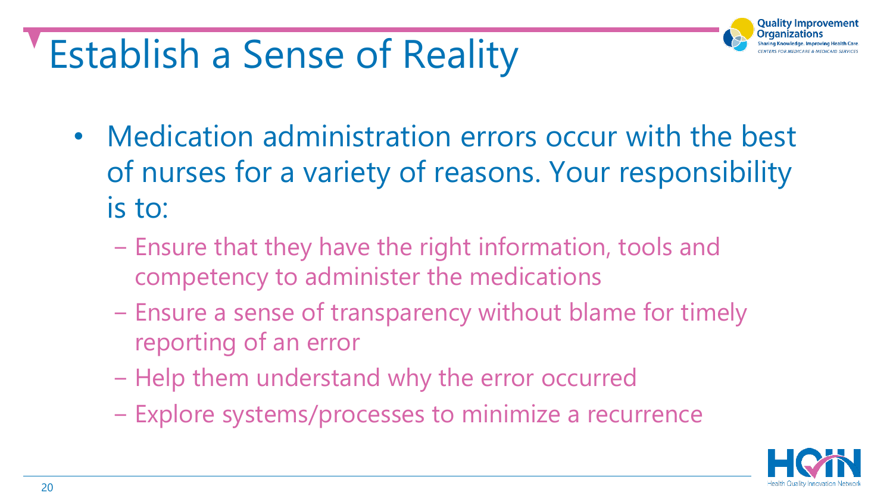### Establish a Sense of Reality

- Medication administration errors occur with the best of nurses for a variety of reasons. Your responsibility is to:
	- − Ensure that they have the right information, tools and competency to administer the medications
	- − Ensure a sense of transparency without blame for timely reporting of an error
	- − Help them understand why the error occurred
	- − Explore systems/processes to minimize a recurrence



uality Improvement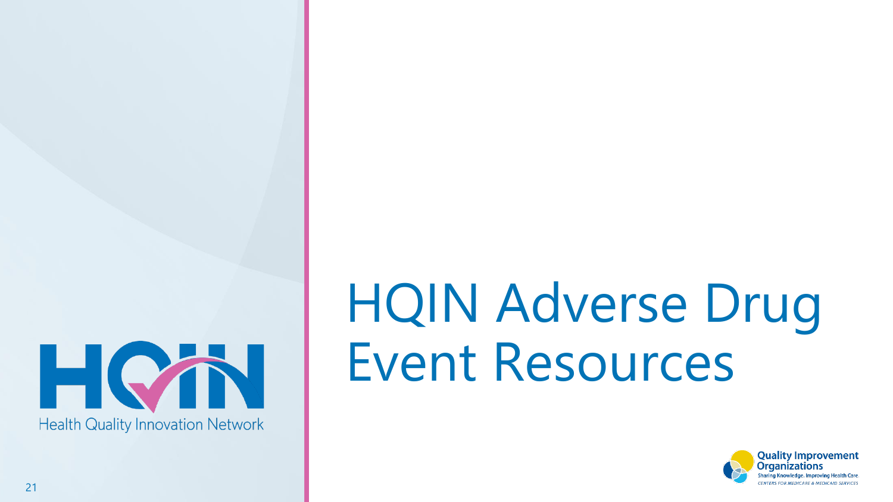

# HQIN Adverse Drug Event Resources

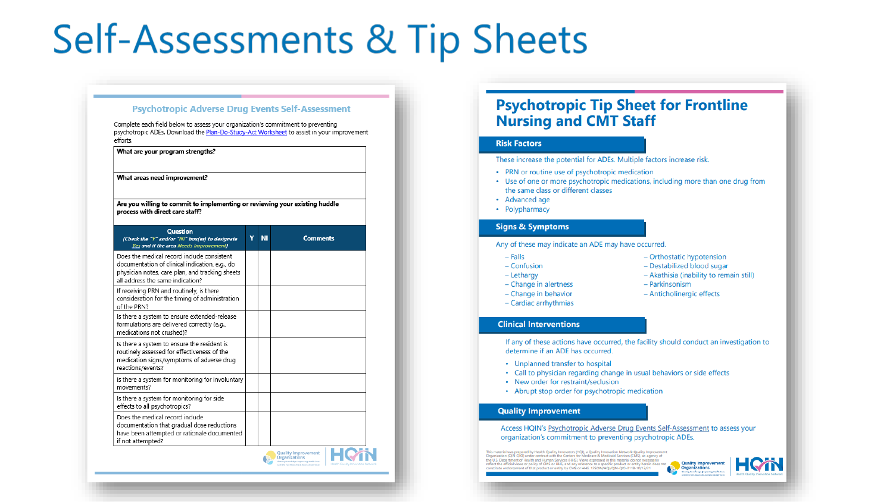#### Self-Assessments & Tip Sheets

#### **Psychotropic Adverse Drug Events Self-Assessment** Complete each field below to assess your organization's commitment to preventing psychotropic ADEs. Download the Plan-Do-Study-Act Worksheet to assist in your improvement efforts. What are your program strengths? What areas need improvement? Are you willing to commit to implementing or reviewing your existing huddle process with direct care staff? **Question** (Check the "Y" and/or "NI" box(es) to designate Y NI **Comments** Yes and if the area Needs Improvement) Does the medical record include consistent documentation of clinical indication, e.g., do physician notes, care plan, and tracking sheets all address the same indication? If receiving PRN and routinely, is there consideration for the timing of administration of the PRN? Is there a system to ensure extended-release formulations are delivered correctly (e.g., medications not crushed)? Is there a system to ensure the resident is routinely assessed for effectiveness of the medication signs/symptoms of adverse drug reactions/events? Is there a system for monitoring for involuntary movements? Is there a system for monitoring for side effects to all psychotropics? Does the medical record include documentation that gradual dose reductions have been attempted or rationale documented if not attempted? **HC# Quality Improvement**

#### **Psychotropic Tip Sheet for Frontline Nursing and CMT Staff**

#### **Risk Factors**

These increase the potential for ADEs. Multiple factors increase risk.

- PRN or routine use of psychotropic medication
- Use of one or more psychotropic medications, including more than one drug from the same class or different classes
- Advanced age
- Polypharmacy

#### **Signs & Symptoms**

Any of these may indicate an ADE may have occurred.

- $-$  Falls
- $-$  Confusion
- Lethargy
- Change in alertness
- Change in behavior
- Cardiac arrhythmias
- Orthostatic hypotension
- Destabilized blood sugar
- Akathisia (inability to remain still)
- Parkinsonism
- Anticholinergic effects

#### **Clinical Interventions**

If any of these actions have occurred, the facility should conduct an investigation to determine if an ADE has occurred.

- Unplanned transfer to hospital
- Call to physician regarding change in usual behaviors or side effects
- New order for restraint/seclusion
- Abrupt stop order for psychotropic medication

#### **Quality Improvement**

Access HQIN's Psychotropic Adverse Drug Events Self-Assessment to assess your organization's commitment to preventing psychotropic ADEs.

This material was prepared by Health Quality Innovators (HQI), a Quality Innovation Network-Quality Improvemen<br>Organization (QIN-Q/O) under contract with the Centers for Medicare & Medicaid Services (CMS), an agency of the U.S. Department of Health and Human Services (HHS). Views expressed in this material do not necessarily reflect the official views or policy of CMS or HHS, and any reference to a specific product or entity herein does not<br>constitute endorsement of that product or entity by CMS or HHS. 12SOW/HQ/QIN-QIO-0118-10/13/21

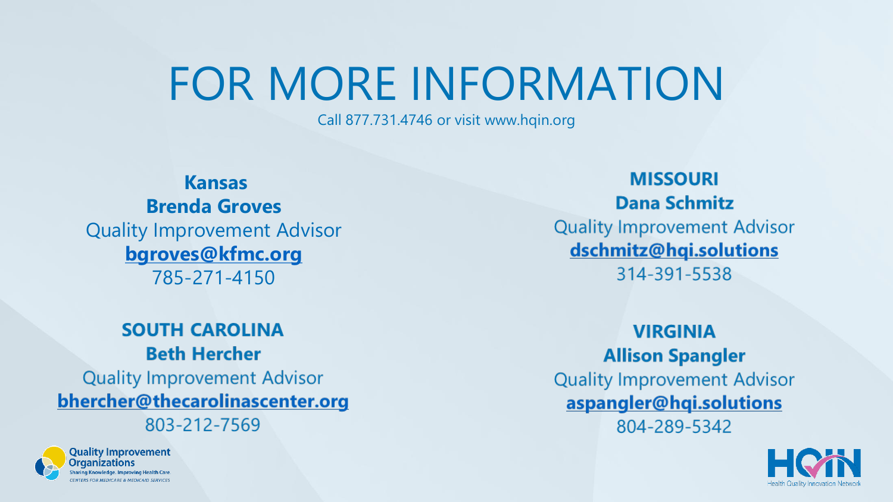### FOR MORE INFORMATION

Call 877.731.4746 or visit www.hqin.org

**Kansas Brenda Groves** Quality Improvement Advisor **[bgroves@kfmc.org](mailto:bgroves@kfmc.org)** 785-271-4150

#### **SOUTH CAROLINA Beth Hercher Quality Improvement Advisor** bhercher@thecarolinascenter.org 803-212-7569



**Quality Improvement Organizations** aring Knowledge, Improving Health Care. **ENTERS FOR MEDICARE & MEDICAID SERVICES** 

**MISSOURI Dana Schmitz Quality Improvement Advisor** dschmitz@hqi.solutions 314-391-5538

**VIRGINIA Allison Spangler Quality Improvement Advisor** aspangler@hqi.solutions 804-289-5342